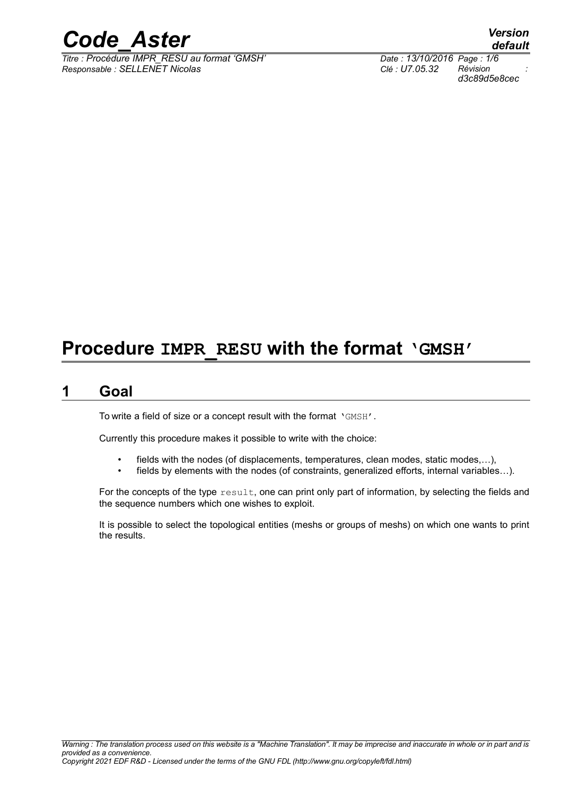

*Titre : Procédure IMPR\_RESU au format 'GMSH' Date : 13/10/2016 Page : 1/6 Responsable : SELLENET Nicolas Clé : U7.05.32 Révision :*

*default d3c89d5e8cec*

# **Procedure IMPR\_RESU with the format 'GMSH'**

### **1 Goal**

To write a field of size or a concept result with the format 'GMSH'.

Currently this procedure makes it possible to write with the choice:

- fields with the nodes (of displacements, temperatures, clean modes, static modes,...),
- fields by elements with the nodes (of constraints, generalized efforts, internal variables...).

For the concepts of the type  $result$ , one can print only part of information, by selecting the fields and the sequence numbers which one wishes to exploit.

It is possible to select the topological entities (meshs or groups of meshs) on which one wants to print the results.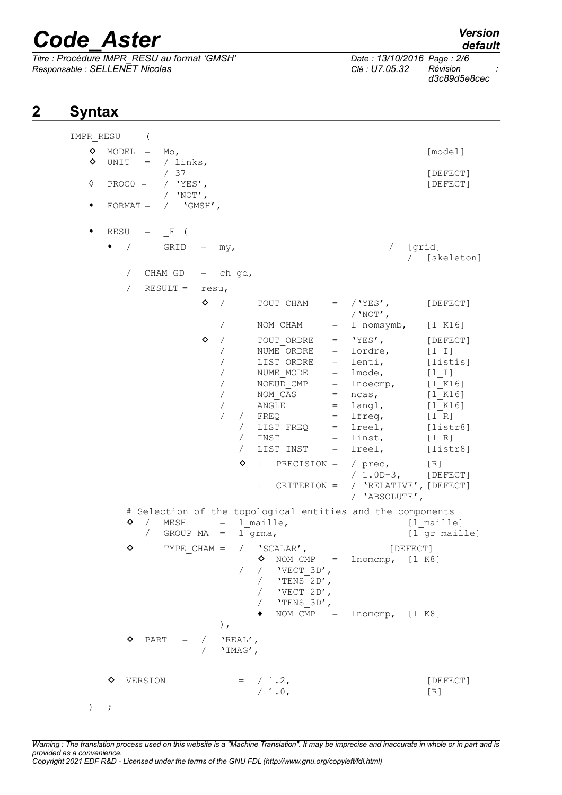**2 Syntax**

 $\overline{T}$ itre : Procédure IMPR\_RESU au format 'GMSH' *Responsable : SELLENET Nicolas Clé : U7.05.32 Révision :*

*d3c89d5e8cec*

#### IMPR\_RESU (  $\Diamond$  MODEL = Mo,  $\diamond$  UNIT = / links, / 37 [DEFECT]<br>/ 'YES', [DEFECT] ◊ PROC0 = / 'YES', [DEFECT]  $/$  'NOT',  $\bullet$  FORMAT = /  $\text{VGMSH}$ ,  $\bullet$  RESU =  $\mathbf{F}$  (  $\bullet$  / GRID = my,  $\qquad$  / [grid] / [skeleton]  $//$  CHAM GD = ch gd, / RESULT = resu,  $\Diamond$  / TOUT CHAM = /'YES', [DEFECT]  $/$ 'NOT', / NOM\_CHAM = l\_nomsymb, [l\_K16]  $\Diamond$  / TOUT ORDRE = 'YES', [DEFECT] / NUME<sup>ORDRE</sup> = lordre, [1\_I] / LIST\_ORDRE = lenti, [listis] / NUME\_MODE = lmode, [l\_I] / NOEUD CMP = lnoecmp, [l\_K16] / NOM  $CAS$  = ncas,  $[1 K16]$ / ANGLE = langl, [1 K16]  $FREQ = Ifreq,$  [l R] / LIST FREQ = lreel,  $[i]$ istr8] / INST = linst, [1\_R]<br>/ LIST INST = lreel, [list LIST INST =  $lree1$ ,  $[listr8]$  $\Diamond$  | PRECISION = / prec, [R] / 1.0D-3, [DEFECT] | CRITERION = / 'RELATIVE',[DEFECT] / 'ABSOLUTE', # Selection of the topological entities and the components ◆ / MESH = l\_maille, (l\_maille)<br>/ GROUP MA = l\_qrma, (l\_qr mail  $l$  grma,  $[$ [ gr maille]  $\Diamond$  TYPE CHAM = / 'SCALAR', [DEFECT]  $\diamond$  NOM CMP = lnomcmp, [1 K8] /  $/$   $VET$  3D',  $/$  'TENS  $2D'$ ,  $\sqrt{VECT}$ 2D',  $/$  'TENS 3D',  $\bullet$  NOM CMP = lnomcmp, [l K8] ),  $\begin{array}{ccccccccc}\n\bullet & \text{PART} & = & / & \text{YREAL}^\prime\end{array},$ / 'IMAG',  $\Diamond$  VERSION =  $/$  1.2, [DEFECT] / 1.0, [R]  $)$  ;

*Warning : The translation process used on this website is a "Machine Translation". It may be imprecise and inaccurate in whole or in part and is provided as a convenience. Copyright 2021 EDF R&D - Licensed under the terms of the GNU FDL (http://www.gnu.org/copyleft/fdl.html)*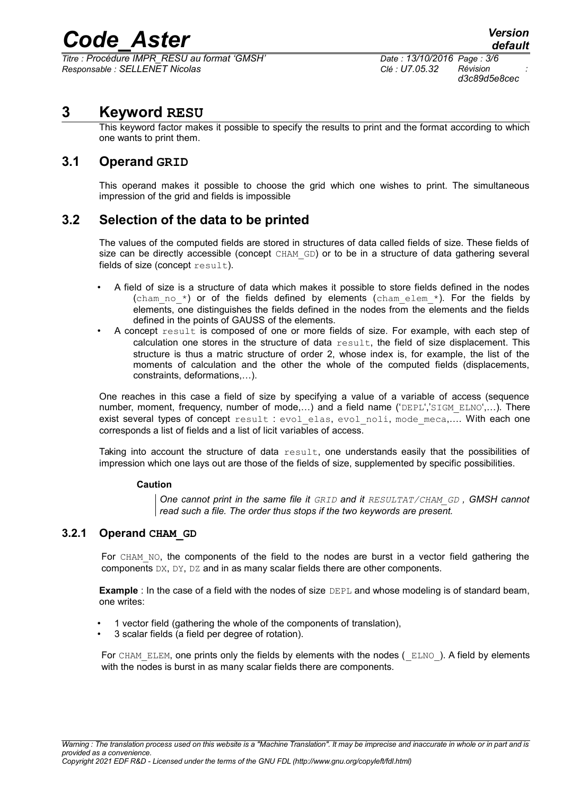*Titre : Procédure IMPR\_RESU au format 'GMSH' Date : 13/10/2016 Page : 3/6 Responsable : SELLENET Nicolas Clé : U7.05.32 Révision :*

*d3c89d5e8cec*

# **3 Keyword RESU**

This keyword factor makes it possible to specify the results to print and the format according to which one wants to print them.

#### **3.1 Operand GRID**

This operand makes it possible to choose the grid which one wishes to print. The simultaneous impression of the grid and fields is impossible

## **3.2 Selection of the data to be printed**

The values of the computed fields are stored in structures of data called fields of size. These fields of size can be directly accessible (concept CHAM GD) or to be in a structure of data gathering several fields of size (concept  $resul$ ).

- A field of size is a structure of data which makes it possible to store fields defined in the nodes (cham no  $*$ ) or of the fields defined by elements (cham elem  $*$ ). For the fields by elements, one distinguishes the fields defined in the nodes from the elements and the fields defined in the points of GAUSS of the elements.
- A concept result is composed of one or more fields of size. For example, with each step of calculation one stores in the structure of data  $result$ , the field of size displacement. This structure is thus a matric structure of order 2, whose index is, for example, the list of the moments of calculation and the other the whole of the computed fields (displacements, constraints, deformations,…).

One reaches in this case a field of size by specifying a value of a variable of access (sequence number, moment, frequency, number of mode,...) and a field name ('DEPL','SIGM\_ELNO',...). There exist several types of concept result : evol elas, evol noli, mode meca,.... With each one corresponds a list of fields and a list of licit variables of access.

Taking into account the structure of data  $result$ , one understands easily that the possibilities of impression which one lays out are those of the fields of size, supplemented by specific possibilities.

#### **Caution**

*One cannot print in the same file it GRID and it RESULTAT/CHAM\_GD , GMSH cannot read such a file. The order thus stops if the two keywords are present.*

#### **3.2.1 Operand CHAM\_GD**

For CHAM NO, the components of the field to the nodes are burst in a vector field gathering the components DX, DY, DZ and in as many scalar fields there are other components.

**Example** : In the case of a field with the nodes of size DEPL and whose modeling is of standard beam, one writes:

- 1 vector field (gathering the whole of the components of translation),
- 3 scalar fields (a field per degree of rotation).

For CHAM\_ELEM, one prints only the fields by elements with the nodes ( ELNO ). A field by elements with the nodes is burst in as many scalar fields there are components.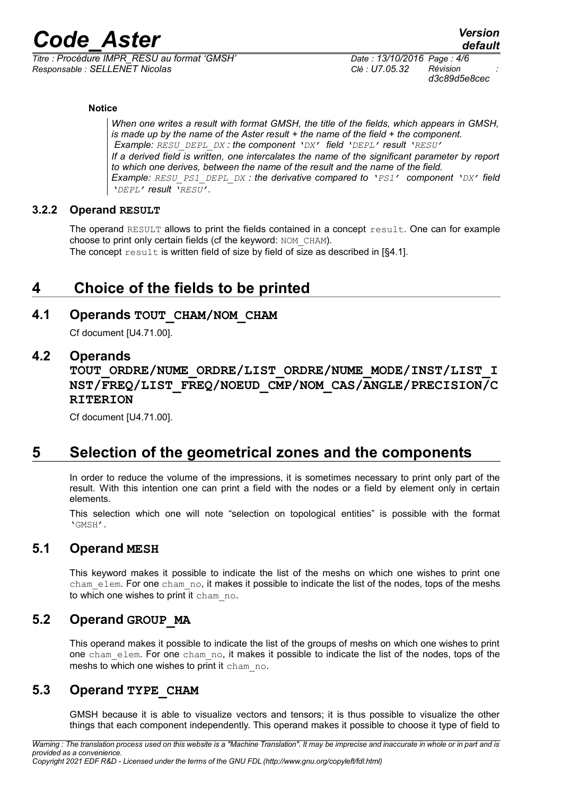*Titre : Procédure IMPR\_RESU au format 'GMSH' Date : 13/10/2016 Page : 4/6 Responsable : SELLENET Nicolas Clé : U7.05.32 Révision :*

*d3c89d5e8cec*

#### **Notice**

*When one writes a result with format GMSH, the title of the fields, which appears in GMSH, is made up by the name of the Aster result + the name of the field + the component. Example: RESU\_DEPL\_DX : the component 'DX' field 'DEPL' result 'RESU' If a derived field is written, one intercalates the name of the significant parameter by report to which one derives, between the name of the result and the name of the field. Example: RESU\_PS1\_DEPL\_DX : the derivative compared to 'PS1' component 'DX' field 'DEPL' result 'RESU'.*

#### **3.2.2 Operand RESULT**

The operand RESULT allows to print the fields contained in a concept result. One can for example choose to print only certain fields (cf the keyword: NOM\_CHAM). The concept  $result$  is written field of size by field of size as described in [§4.1].

# **4 Choice of the fields to be printed**

#### **4.1 Operands TOUT\_CHAM/NOM\_CHAM**

Cf document [U4.71.00].

#### **4.2 Operands**

**TOUT\_ORDRE/NUME\_ORDRE/LIST\_ORDRE/NUME\_MODE/INST/LIST\_I NST/FREQ/LIST\_FREQ/NOEUD\_CMP/NOM\_CAS/ANGLE/PRECISION/C RITERION**

Cf document [U4.71.00].

# **5 Selection of the geometrical zones and the components**

In order to reduce the volume of the impressions, it is sometimes necessary to print only part of the result. With this intention one can print a field with the nodes or a field by element only in certain elements.

This selection which one will note "selection on topological entities" is possible with the format 'GMSH'.

#### **5.1 Operand MESH**

This keyword makes it possible to indicate the list of the meshs on which one wishes to print one cham\_elem. For one cham\_no, it makes it possible to indicate the list of the nodes, tops of the meshs to which one wishes to print it cham\_no.

#### **5.2 Operand GROUP\_MA**

This operand makes it possible to indicate the list of the groups of meshs on which one wishes to print one cham\_elem. For one cham\_no, it makes it possible to indicate the list of the nodes, tops of the meshs to which one wishes to print it cham no.

## **5.3 Operand TYPE\_CHAM**

GMSH because it is able to visualize vectors and tensors; it is thus possible to visualize the other things that each component independently. This operand makes it possible to choose it type of field to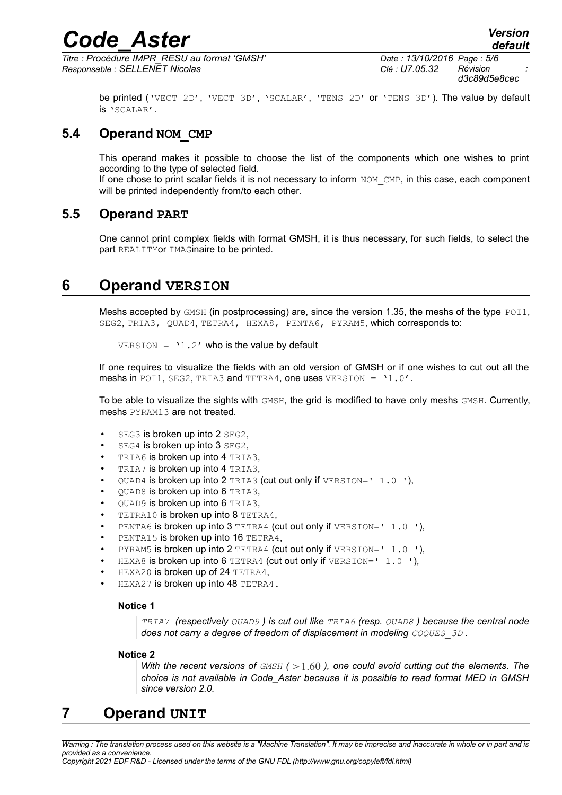*Titre : Procédure IMPR\_RESU au format 'GMSH' Date : 13/10/2016 Page : 5/6 Responsable : SELLENET Nicolas Clé : U7.05.32 Révision :*

*d3c89d5e8cec*

be printed ('VECT\_2D', 'VECT\_3D', 'SCALAR', 'TENS\_2D' or 'TENS\_3D'). The value by default is 'SCALAR'.

### **5.4 Operand NOM\_CMP**

This operand makes it possible to choose the list of the components which one wishes to print according to the type of selected field.

If one chose to print scalar fields it is not necessary to inform NOM CMP, in this case, each component will be printed independently from/to each other.

#### **5.5 Operand PART**

One cannot print complex fields with format GMSH, it is thus necessary, for such fields, to select the part REALITYor IMAGinaire to be printed.

# **6 Operand VERSION**

Meshs accepted by GMSH (in postprocessing) are, since the version 1.35, the meshs of the type POI1, SEG2, TRIA3, QUAD4, TETRA4, HEXA8, PENTA6, PYRAM5, which corresponds to:

 $VERSION = '1.2'$  who is the value by default

If one requires to visualize the fields with an old version of GMSH or if one wishes to cut out all the meshs in POI1, SEG2, TRIA3 and TETRA4, one uses VERSION =  $'1.0'$ .

To be able to visualize the sights with GMSH, the grid is modified to have only meshs GMSH. Currently, meshs PYRAM13 are not treated.

- SEG3 is broken up into 2 SEG2,
- SEG4 is broken up into 3 SEG2,
- TRIA6 is broken up into 4 TRIA3,
- TRIA7 is broken up into 4 TRIA3,
- QUAD4 is broken up into 2 TRIA3 (cut out only if  $VERSION=' 1.0 '$ ),
- QUAD8 is broken up into 6 TRIA3,
- $\cdot$  OUAD9 is broken up into 6 TRIA3.
- TETRA10 is broken up into 8 TETRA4,
- PENTA6 is broken up into 3 TETRA4 (cut out only if VERSION=' 1.0 '),
- PENTA15 is broken up into 16 TETRA4,
- PYRAM5 is broken up into 2 TETRA4 (cut out only if  $VERSION=' 1.0 '$ ),
- HEXA8 is broken up into 6 TETRA4 (cut out only if  $VERSION=' 1.0 '$ ),
- HEXA20 is broken up of 24 TETRA4,
- HEXA27 is broken up into 48 TETRA4.

#### **Notice 1**

*TRIA7 (respectively QUAD9 ) is cut out like TRIA6 (resp. QUAD8 ) because the central node does not carry a degree of freedom of displacement in modeling*  $COQUES$  *3D.* 

#### **Notice 2**

*With the recent versions of*  $GMSH$  *( > 1.60 ), one could avoid cutting out the elements. The choice is not available in Code\_Aster because it is possible to read format MED in GMSH since version 2.0.*

# **7 Operand UNIT**

*Warning : The translation process used on this website is a "Machine Translation". It may be imprecise and inaccurate in whole or in part and is provided as a convenience.*

*Copyright 2021 EDF R&D - Licensed under the terms of the GNU FDL (http://www.gnu.org/copyleft/fdl.html)*